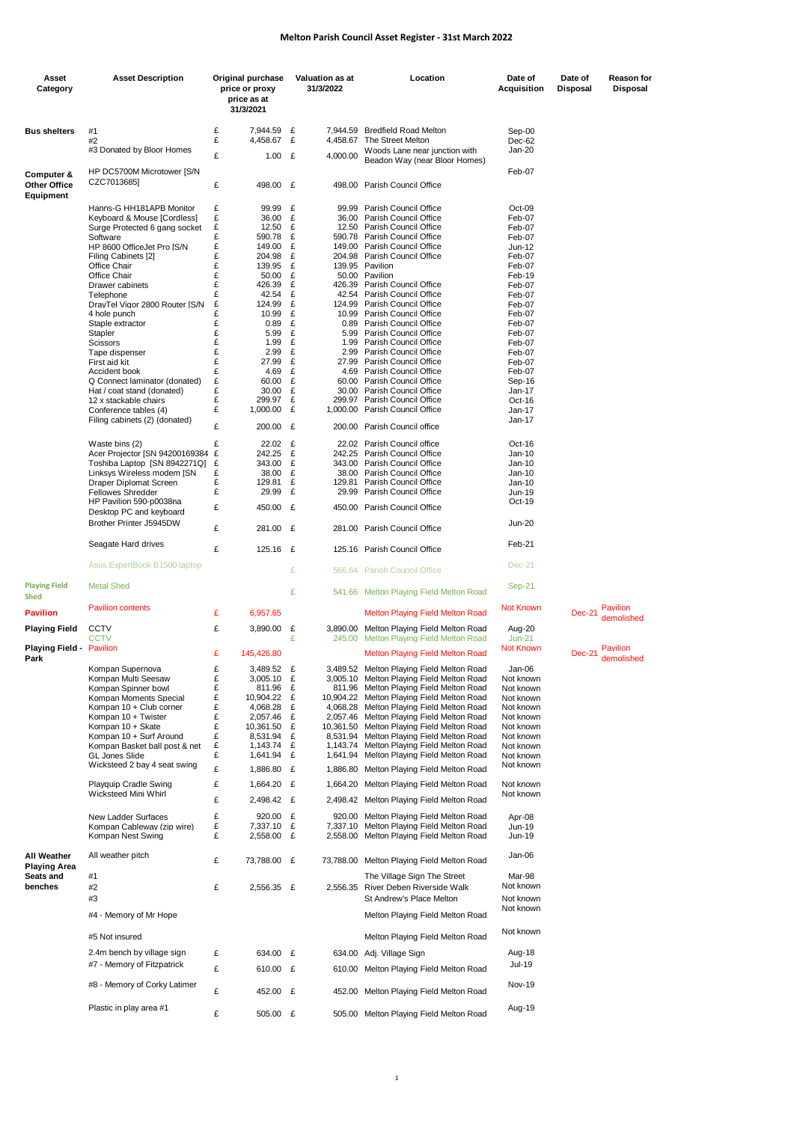## **Melton Parish Council Asset Register - 31st March 2022**

| Asset<br>Category                   | <b>Asset Description</b>                                    | Original purchase<br>price or proxy<br>price as at<br>31/3/2021 |        | <b>Valuation as at</b><br>31/3/2022 | Location                                                                                | Date of<br><b>Acquisition</b> | Date of<br>Disposal | Reason for<br>Disposal |
|-------------------------------------|-------------------------------------------------------------|-----------------------------------------------------------------|--------|-------------------------------------|-----------------------------------------------------------------------------------------|-------------------------------|---------------------|------------------------|
|                                     |                                                             |                                                                 |        |                                     |                                                                                         |                               |                     |                        |
| <b>Bus shelters</b>                 | #1<br>#2                                                    | £<br>7,944.59<br>£<br>4,458.67                                  | £<br>£ | 4,458.67                            | 7,944.59 Bredfield Road Melton<br>The Street Melton                                     | Sep-00<br>Dec-62              |                     |                        |
|                                     | #3 Donated by Bloor Homes                                   | £<br>1.00                                                       | £      | 4,000.00                            | Woods Lane near junction with                                                           | Jan-20                        |                     |                        |
| Computer &<br><b>Other Office</b>   | HP DC5700M Microtower [S/N<br>CZC7013685]                   | £<br>498.00 £                                                   |        |                                     | Beadon Way (near Bloor Homes)<br>498.00 Parish Council Office                           | Feb-07                        |                     |                        |
| Equipment                           |                                                             | £<br>99.99                                                      | £      |                                     |                                                                                         |                               |                     |                        |
|                                     | Hanns-G HH181APB Monitor<br>Keyboard & Mouse [Cordless]     | £<br>36.00                                                      | £      |                                     | 99.99 Parish Council Office<br>36.00 Parish Council Office                              | Oct-09<br>Feb-07              |                     |                        |
|                                     | Surge Protected 6 gang socket                               | £<br>12.50<br>£                                                 | £      |                                     | 12.50 Parish Council Office                                                             | Feb-07                        |                     |                        |
|                                     | Software<br>HP 8600 OfficeJet Pro [S/N                      | 590.78<br>£<br>149.00                                           | £<br>£ |                                     | 590.78 Parish Council Office<br>149.00 Parish Council Office                            | Feb-07<br>Jun-12              |                     |                        |
|                                     | Filing Cabinets [2]                                         | £<br>204.98                                                     | £      |                                     | 204.98 Parish Council Office                                                            | Feb-07                        |                     |                        |
|                                     | Office Chair<br>Office Chair                                | £<br>139.95<br>£<br>50.00                                       | £<br>£ |                                     | 139.95 Pavilion<br>50.00 Pavilion                                                       | Feb-07<br>Feb-19              |                     |                        |
|                                     | Drawer cabinets                                             | £<br>426.39                                                     | £      |                                     | 426.39 Parish Council Office                                                            | Feb-07                        |                     |                        |
|                                     | Telephone                                                   | £<br>42.54                                                      | £      |                                     | 42.54 Parish Council Office                                                             | Feb-07                        |                     |                        |
|                                     | DrayTel Vigor 2800 Router [S/N<br>4 hole punch              | £<br>124.99<br>£<br>10.99                                       | £<br>£ |                                     | 124.99 Parish Council Office<br>10.99 Parish Council Office                             | Feb-07<br>Feb-07              |                     |                        |
|                                     | Staple extractor                                            | £<br>0.89                                                       | £      |                                     | 0.89 Parish Council Office                                                              | Feb-07                        |                     |                        |
|                                     | Stapler                                                     | £<br>5.99                                                       | £      |                                     | 5.99 Parish Council Office                                                              | Feb-07                        |                     |                        |
|                                     | Scissors<br>Tape dispenser                                  | £<br>1.99<br>£<br>2.99                                          | £<br>£ |                                     | 1.99 Parish Council Office<br>2.99 Parish Council Office                                | Feb-07<br>Feb-07              |                     |                        |
|                                     | First aid kit                                               | £<br>27.99                                                      | £      |                                     | 27.99 Parish Council Office                                                             | Feb-07                        |                     |                        |
|                                     | Accident book                                               | £<br>4.69<br>£<br>60.00                                         | £<br>£ |                                     | 4.69 Parish Council Office<br>60.00 Parish Council Office                               | Feb-07                        |                     |                        |
|                                     | Q Connect laminator (donated)<br>Hat / coat stand (donated) | £<br>30.00                                                      | £      |                                     | 30.00 Parish Council Office                                                             | Sep-16<br>Jan-17              |                     |                        |
|                                     | 12 x stackable chairs                                       | £<br>299.97                                                     | £      |                                     | 299.97 Parish Council Office                                                            | Oct-16                        |                     |                        |
|                                     | Conference tables (4)                                       | £<br>1,000.00                                                   | £      |                                     | 1,000.00 Parish Council Office                                                          | Jan-17<br>Jan-17              |                     |                        |
|                                     | Filing cabinets (2) (donated)                               | £<br>200.00 £                                                   |        |                                     | 200.00 Parish Council office                                                            |                               |                     |                        |
|                                     | Waste bins (2)                                              | £<br>22.02                                                      | £      |                                     | 22.02 Parish Council office                                                             | Oct-16                        |                     |                        |
|                                     | Acer Projector [SN 94200169384                              | £<br>242.25                                                     | £      |                                     | 242.25 Parish Council Office                                                            | Jan-10                        |                     |                        |
|                                     | Toshiba Laptop [SN 8942271Q]<br>Linksys Wireless modem [SN  | 343.00<br>£<br>£<br>38.00                                       | £<br>£ |                                     | 343.00 Parish Council Office<br>38.00 Parish Council Office                             | Jan-10<br>Jan-10              |                     |                        |
|                                     | Draper Diplomat Screen                                      | £<br>129.81                                                     | £      | 129.81                              | Parish Council Office                                                                   | Jan-10                        |                     |                        |
|                                     | <b>Fellowes Shredder</b><br>HP Pavilion 590-p0038na         | £<br>29.99                                                      | £      | 29.99                               | Parish Council Office                                                                   | Jun-19<br>Oct-19              |                     |                        |
|                                     | Desktop PC and keyboard                                     | £<br>450.00                                                     | £      | 450.00                              | Parish Council Office                                                                   |                               |                     |                        |
|                                     | Brother Printer J5945DW                                     | £<br>281.00 £                                                   |        |                                     | 281.00 Parish Council Office                                                            | <b>Jun-20</b>                 |                     |                        |
|                                     | Seagate Hard drives                                         | £<br>125.16                                                     | £      |                                     | 125.16 Parish Council Office                                                            | Feb-21                        |                     |                        |
|                                     | Asus ExpertBook B1500 laptop                                |                                                                 | £      |                                     | 566.64 Parish Council Office                                                            | $Dec-21$                      |                     |                        |
| <b>Playing Field</b><br><b>Shed</b> | <b>Metal Shed</b>                                           |                                                                 | £      |                                     | 541.66 Melton Playing Field Melton Road                                                 | <b>Sep-21</b>                 |                     |                        |
| <b>Pavilion</b>                     | <b>Pavilion contents</b>                                    | £<br>6,957.65                                                   |        |                                     | <b>Melton Playing Field Melton Road</b>                                                 | <b>Not Known</b>              | Dec-21              | Pavilion<br>demolished |
| <b>Playing Field</b>                | <b>CCTV</b><br>CCTV                                         | £<br>3,890.00                                                   | £<br>£ |                                     | 3,890.00 Melton Playing Field Melton Road<br>245.00 Melton Playing Field Melton Road    | Aug-20                        |                     |                        |
| <b>Playing Field - Pavilion</b>     |                                                             | £<br>145,426.80                                                 |        |                                     | <b>Melton Playing Field Melton Road</b>                                                 | $Jun-21$<br><b>Not Known</b>  | Dec-21              | Pavilion               |
| Park                                | Kompan Supernova                                            | 3,489.52 £<br>£                                                 |        |                                     | 3,489.52 Melton Playing Field Melton Road                                               | Jan-06                        |                     | demolished             |
|                                     | Kompan Multi Seesaw                                         | £<br>$3,005.10$ £                                               |        |                                     | 3,005.10 Melton Playing Field Melton Road                                               | Not known                     |                     |                        |
|                                     | Kompan Spinner bowl<br>Kompan Moments Special               | £<br>811.96<br>£                                                | £      |                                     | 811.96 Melton Playing Field Melton Road<br>10,904.22 Melton Playing Field Melton Road   | Not known                     |                     |                        |
|                                     | Kompan 10 + Club corner                                     | 10,904.22<br>£<br>4.068.28                                      | £<br>£ |                                     | 4,068.28 Melton Playing Field Melton Road                                               | Not known<br>Not known        |                     |                        |
|                                     | Kompan 10 + Twister                                         | £<br>2,057.46                                                   | £      |                                     | 2,057.46 Melton Playing Field Melton Road                                               | Not known                     |                     |                        |
|                                     | Kompan 10 + Skate<br>Kompan 10 + Surf Around                | £<br>10,361.50<br>£<br>8,531.94                                 | £<br>£ |                                     | 10,361.50 Melton Playing Field Melton Road<br>8,531.94 Melton Playing Field Melton Road | Not known<br>Not known        |                     |                        |
|                                     | Kompan Basket ball post & net                               | £<br>1,143.74                                                   | £      |                                     | 1,143.74 Melton Playing Field Melton Road                                               | Not known                     |                     |                        |
|                                     | <b>GL Jones Slide</b>                                       | £<br>1,641.94                                                   | £      | 1,641.94                            | Melton Playing Field Melton Road                                                        | Not known                     |                     |                        |
|                                     | Wicksteed 2 bay 4 seat swing                                | £<br>1,886.80                                                   | £      |                                     | 1,886.80 Melton Playing Field Melton Road                                               | Not known                     |                     |                        |
|                                     | <b>Playquip Cradle Swing</b><br>Wicksteed Mini Whirl        | £<br>1,664.20 £                                                 |        |                                     | 1,664.20 Melton Playing Field Melton Road                                               | Not known<br>Not known        |                     |                        |
|                                     |                                                             | £<br>2,498.42 £                                                 |        |                                     | 2,498.42 Melton Playing Field Melton Road                                               |                               |                     |                        |
|                                     | New Ladder Surfaces<br>Kompan Cableway (zip wire)           | £<br>920.00 £<br>£<br>7,337.10 £                                |        |                                     | 920.00 Melton Playing Field Melton Road<br>7,337.10 Melton Playing Field Melton Road    | Apr-08<br>Jun-19              |                     |                        |
|                                     | Kompan Nest Swing                                           | £<br>2,558.00 £                                                 |        |                                     | 2,558.00 Melton Playing Field Melton Road                                               | Jun-19                        |                     |                        |
| All Weather                         | All weather pitch                                           | £<br>73,788.00 £                                                |        |                                     | 73,788.00 Melton Playing Field Melton Road                                              | Jan-06                        |                     |                        |
| <b>Playing Area</b><br>Seats and    | #1                                                          |                                                                 |        |                                     | The Village Sign The Street                                                             | Mar-98                        |                     |                        |
| benches                             | #2<br>#3                                                    | £<br>2,556.35 £                                                 |        |                                     | 2,556.35 River Deben Riverside Walk<br>St Andrew's Place Melton                         | Not known<br>Not known        |                     |                        |
|                                     | #4 - Memory of Mr Hope                                      |                                                                 |        |                                     | Melton Playing Field Melton Road                                                        | Not known                     |                     |                        |
|                                     | #5 Not insured                                              |                                                                 |        |                                     | Melton Playing Field Melton Road                                                        | Not known                     |                     |                        |
|                                     | 2.4m bench by village sign                                  | £<br>634.00 £                                                   |        |                                     | 634.00 Adj. Village Sign                                                                | Aug-18                        |                     |                        |
|                                     | #7 - Memory of Fitzpatrick                                  | £<br>610.00 £                                                   |        |                                     | 610.00 Melton Playing Field Melton Road                                                 | <b>Jul-19</b>                 |                     |                        |
|                                     | #8 - Memory of Corky Latimer                                | £<br>452.00 £                                                   |        |                                     | 452.00 Melton Playing Field Melton Road                                                 | <b>Nov-19</b>                 |                     |                        |
|                                     | Plastic in play area #1                                     | £<br>505.00 £                                                   |        |                                     | 505.00 Melton Playing Field Melton Road                                                 | Aug-19                        |                     |                        |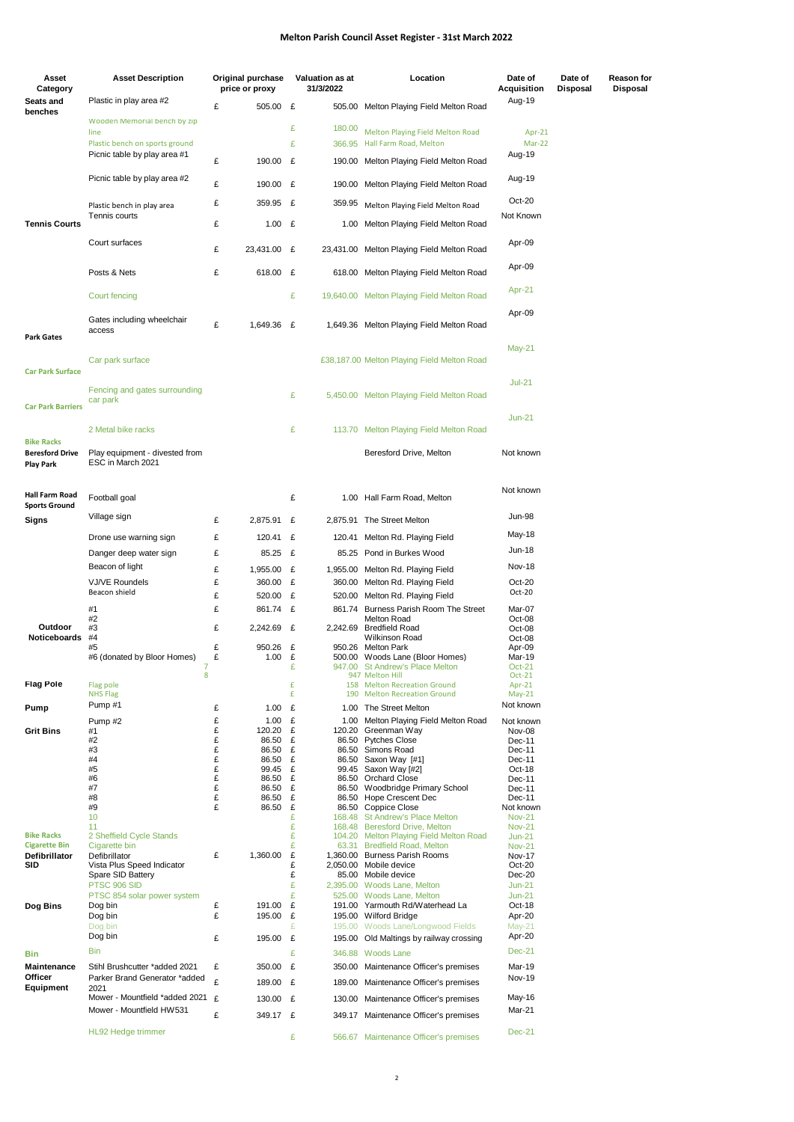## **Melton Parish Council Asset Register - 31st March 2022**

| Asset                                       | <b>Asset Description</b>                                       | Original purchase              |        | <b>Valuation as at</b> | Location                                                                  | Date of                    | Date of         | <b>Reason for</b> |
|---------------------------------------------|----------------------------------------------------------------|--------------------------------|--------|------------------------|---------------------------------------------------------------------------|----------------------------|-----------------|-------------------|
| Category<br>Seats and                       | Plastic in play area #2                                        | price or proxy                 |        | 31/3/2022              |                                                                           | Acquisition<br>Aug-19      | <b>Disposal</b> | Disposal          |
| benches                                     | Wooden Memorial bench by zip                                   | £<br>505.00 £                  |        |                        | 505.00 Melton Playing Field Melton Road                                   |                            |                 |                   |
|                                             | line                                                           |                                | £      | 180.00                 | Melton Playing Field Melton Road                                          | Apr-21                     |                 |                   |
|                                             | Plastic bench on sports ground<br>Picnic table by play area #1 |                                | £      | 366.95                 | Hall Farm Road, Melton                                                    | Mar-22<br>Aug-19           |                 |                   |
|                                             |                                                                | £<br>190.00                    | £      | 190.00                 | Melton Playing Field Melton Road                                          |                            |                 |                   |
|                                             | Picnic table by play area #2                                   | £<br>190.00 £                  |        | 190.00                 | Melton Playing Field Melton Road                                          | Aug-19                     |                 |                   |
|                                             | Plastic bench in play area                                     | £<br>359.95 £                  |        | 359.95                 | Melton Playing Field Melton Road                                          | Oct-20                     |                 |                   |
| <b>Tennis Courts</b>                        | Tennis courts                                                  | £<br>1.00 $E$                  |        | 1.00                   | Melton Playing Field Melton Road                                          | Not Known                  |                 |                   |
|                                             | Court surfaces                                                 | £<br>23,431.00                 | £      |                        | 23,431.00 Melton Playing Field Melton Road                                | Apr-09                     |                 |                   |
|                                             |                                                                |                                |        |                        |                                                                           | Apr-09                     |                 |                   |
|                                             | Posts & Nets                                                   | £<br>618.00 £                  |        |                        | 618.00 Melton Playing Field Melton Road                                   |                            |                 |                   |
|                                             | Court fencing                                                  |                                | £      |                        | 19,640.00 Melton Playing Field Melton Road                                | Apr-21                     |                 |                   |
|                                             | Gates including wheelchair                                     | £<br>1,649.36 £                |        |                        | 1,649.36 Melton Playing Field Melton Road                                 | Apr-09                     |                 |                   |
| <b>Park Gates</b>                           | access                                                         |                                |        |                        |                                                                           |                            |                 |                   |
|                                             | Car park surface                                               |                                |        |                        | £38,187.00 Melton Playing Field Melton Road                               | May-21                     |                 |                   |
| <b>Car Park Surface</b>                     |                                                                |                                |        |                        |                                                                           |                            |                 |                   |
|                                             | Fencing and gates surrounding                                  |                                | £      |                        | 5,450.00 Melton Playing Field Melton Road                                 | $Jul-21$                   |                 |                   |
| <b>Car Park Barriers</b>                    | car park                                                       |                                |        |                        |                                                                           | $Jun-21$                   |                 |                   |
|                                             | 2 Metal bike racks                                             |                                | £      |                        | 113.70 Melton Playing Field Melton Road                                   |                            |                 |                   |
| <b>Bike Racks</b><br><b>Beresford Drive</b> | Play equipment - divested from                                 |                                |        |                        | Beresford Drive, Melton                                                   | Not known                  |                 |                   |
| <b>Play Park</b>                            | ESC in March 2021                                              |                                |        |                        |                                                                           |                            |                 |                   |
|                                             |                                                                |                                |        |                        |                                                                           | Not known                  |                 |                   |
| Hall Farm Road<br><b>Sports Ground</b>      | Football goal                                                  |                                | £      |                        | 1.00 Hall Farm Road, Melton                                               |                            |                 |                   |
| Signs                                       | Village sign                                                   | £<br>2,875.91 £                |        |                        | 2,875.91 The Street Melton                                                | <b>Jun-98</b>              |                 |                   |
|                                             | Drone use warning sign                                         | £<br>120.41 £                  |        |                        | 120.41 Melton Rd. Playing Field                                           | May-18                     |                 |                   |
|                                             | Danger deep water sign                                         | £<br>85.25                     | £      |                        | 85.25 Pond in Burkes Wood                                                 | Jun-18                     |                 |                   |
|                                             | Beacon of light                                                | £<br>1,955.00 £                |        |                        | 1,955.00 Melton Rd. Playing Field                                         | <b>Nov-18</b>              |                 |                   |
|                                             | <b>VJ/VE Roundels</b><br>Beacon shield                         | £<br>360.00 £                  |        |                        | 360.00 Melton Rd. Playing Field                                           | Oct-20<br>Oct-20           |                 |                   |
|                                             | #1                                                             | £<br>520.00 £<br>£<br>861.74 £ |        |                        | 520.00 Melton Rd. Playing Field                                           |                            |                 |                   |
|                                             | #2                                                             |                                |        |                        | 861.74 Burness Parish Room The Street<br><b>Melton Road</b>               | Mar-07<br>Oct-08           |                 |                   |
| Outdoor<br>Noticeboards                     | #3<br>#4                                                       | £<br>2,242.69 £                |        |                        | 2.242.69 Bredfield Road<br>Wilkinson Road                                 | Oct-08<br>Oct-08           |                 |                   |
|                                             | #5                                                             | £<br>950.26 £                  |        |                        | 950.26 Melton Park                                                        | Apr-09                     |                 |                   |
|                                             | #6 (donated by Bloor Homes)<br>7                               | £<br>1.00 $E$                  | £      | 947.00                 | 500.00 Woods Lane (Bloor Homes)<br><b>St Andrew's Place Melton</b>        | Mar-19<br>$Oct-21$         |                 |                   |
| <b>Flag Pole</b>                            | 8<br>Flag pole                                                 |                                | £      |                        | 947 Melton Hill<br>158 Melton Recreation Ground                           | Oct-21<br>Apr-21           |                 |                   |
|                                             | <b>NHS Flag</b>                                                |                                | £      | 190                    | <b>Melton Recreation Ground</b>                                           | $May-21$                   |                 |                   |
| Pump                                        | Pump #1                                                        | £<br>1.00 $E$                  |        |                        | 1.00 The Street Melton                                                    | Not known                  |                 |                   |
| <b>Grit Bins</b>                            | Pump #2<br>#1                                                  | £<br>1.00<br>£<br>120.20       | £<br>£ | 1.00<br>120.20         | Melton Playing Field Melton Road<br>Greenman Way                          | Not known<br>Nov-08        |                 |                   |
|                                             | #2                                                             | £<br>86.50                     | £      |                        | 86.50 Pytches Close                                                       | Dec-11                     |                 |                   |
|                                             | #3<br>#4                                                       | £<br>86.50<br>£<br>86.50       | £<br>£ |                        | 86.50 Simons Road<br>86.50 Saxon Way [#1]                                 | Dec-11<br>Dec-11           |                 |                   |
|                                             | #5                                                             | £<br>99.45                     | £      |                        | 99.45 Saxon Way [#2]                                                      | Oct-18                     |                 |                   |
|                                             | #6<br>#7                                                       | £<br>86.50<br>£<br>86.50       | £<br>£ |                        | 86.50 Orchard Close<br>86.50 Woodbridge Primary School                    | Dec-11<br>Dec-11           |                 |                   |
|                                             | #8<br>#9                                                       | £<br>86.50<br>£<br>86.50       | £<br>£ |                        | 86.50 Hope Crescent Dec                                                   | Dec-11                     |                 |                   |
|                                             | 10                                                             |                                | £      |                        | 86.50 Coppice Close<br>168.48 St Andrew's Place Melton                    | Not known<br><b>Nov-21</b> |                 |                   |
| <b>Bike Racks</b>                           | 11<br>2 Sheffield Cycle Stands                                 |                                | £<br>£ |                        | 168.48 Beresford Drive, Melton<br>104.20 Melton Playing Field Melton Road | <b>Nov-21</b><br>$Jun-21$  |                 |                   |
| <b>Cigarette Bin</b>                        | Cigarette bin                                                  |                                | £      |                        | 63.31 Bredfield Road, Melton                                              | <b>Nov-21</b>              |                 |                   |
| Defibrillator<br>SID                        | Defibrillator<br>Vista Plus Speed Indicator                    | £<br>1,360.00                  | £<br>£ |                        | 1,360.00 Burness Parish Rooms<br>2,050.00 Mobile device                   | <b>Nov-17</b><br>Oct-20    |                 |                   |
|                                             | Spare SID Battery                                              |                                | £      |                        | 85.00 Mobile device                                                       | Dec-20                     |                 |                   |
|                                             | PTSC 906 SID<br>PTSC 854 solar power system                    |                                | £<br>£ |                        | 2,395.00 Woods Lane, Melton<br>525.00 Woods Lane, Melton                  | $Jun-21$<br>$Jun-21$       |                 |                   |
| Dog Bins                                    | Dog bin                                                        | £<br>191.00                    | £      |                        | 191.00 Yarmouth Rd/Waterhead La                                           | Oct-18                     |                 |                   |
|                                             | Dog bin<br>Dog bin                                             | £<br>195.00                    | £<br>£ | 195.00                 | 195.00 Wilford Bridge<br>Woods Lane/Longwood Fields                       | Apr-20<br>May-21           |                 |                   |
|                                             | Dog bin                                                        | £<br>195.00                    | £      | 195.00                 | Old Maltings by railway crossing                                          | Apr-20                     |                 |                   |
| Bin                                         | Bin                                                            |                                | £      |                        | 346.88 Woods Lane                                                         | <b>Dec-21</b>              |                 |                   |
| Maintenance                                 | Stihl Brushcutter *added 2021                                  | 350.00 £<br>£                  |        |                        | 350.00 Maintenance Officer's premises                                     | Mar-19                     |                 |                   |
| Officer<br>Equipment                        | Parker Brand Generator *added<br>2021                          | £<br>189.00 £                  |        | 189.00                 | Maintenance Officer's premises                                            | <b>Nov-19</b>              |                 |                   |
|                                             | Mower - Mountfield *added 2021 £                               | 130.00 £                       |        | 130.00                 | Maintenance Officer's premises                                            | May-16                     |                 |                   |
|                                             | Mower - Mountfield HW531                                       | £<br>349.17 £                  |        |                        | 349.17 Maintenance Officer's premises                                     | Mar-21                     |                 |                   |
|                                             | HL92 Hedge trimmer                                             |                                | £      |                        | 566.67 Maintenance Officer's premises                                     | <b>Dec-21</b>              |                 |                   |